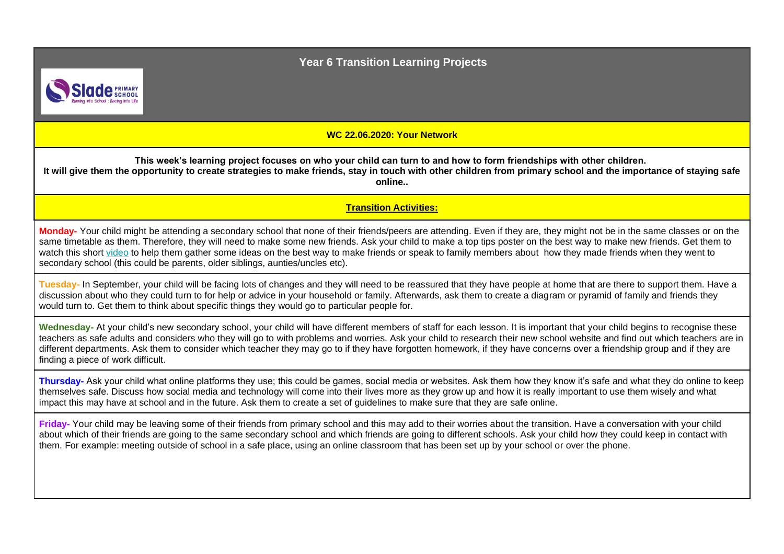**Year 6 Transition Learning Projects**



**WC 22.06.2020: Your Network**

**This week's learning project focuses on who your child can turn to and how to form friendships with other children. It will give them the opportunity to create strategies to make friends, stay in touch with other children from primary school and the importance of staying safe online..**

**Transition Activities:**

**Monday-** Your child might be attending a secondary school that none of their friends/peers are attending. Even if they are, they might not be in the same classes or on the same timetable as them. Therefore, they will need to make some new friends. Ask your child to make a top tips poster on the best way to make new friends. Get them to watch this short [video](https://www.bbc.co.uk/bitesize/articles/znhf7nb) to help them gather some ideas on the best way to make friends or speak to family members about how they made friends when they went to secondary school (this could be parents, older siblings, aunties/uncles etc).

**Tuesday-** In September, your child will be facing lots of changes and they will need to be reassured that they have people at home that are there to support them. Have a discussion about who they could turn to for help or advice in your household or family. Afterwards, ask them to create a diagram or pyramid of family and friends they would turn to. Get them to think about specific things they would go to particular people for.

Wednesday- At your child's new secondary school, your child will have different members of staff for each lesson. It is important that your child begins to recognise these teachers as safe adults and considers who they will go to with problems and worries. Ask your child to research their new school website and find out which teachers are in different departments. Ask them to consider which teacher they may go to if they have forgotten homework, if they have concerns over a friendship group and if they are finding a piece of work difficult.

**Thursday-** Ask your child what online platforms they use; this could be games, social media or websites. Ask them how they know it's safe and what they do online to keep themselves safe. Discuss how social media and technology will come into their lives more as they grow up and how it is really important to use them wisely and what impact this may have at school and in the future. Ask them to create a set of guidelines to make sure that they are safe online.

**Friday-** Your child may be leaving some of their friends from primary school and this may add to their worries about the transition. Have a conversation with your child about which of their friends are going to the same secondary school and which friends are going to different schools. Ask your child how they could keep in contact with them. For example: meeting outside of school in a safe place, using an online classroom that has been set up by your school or over the phone.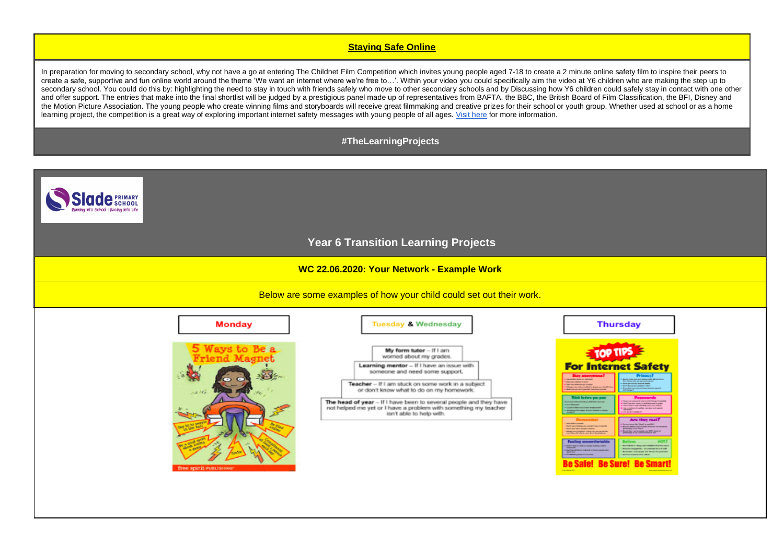## **Staying Safe Online**

In preparation for moving to secondary school, why not have a go at entering The Childnet Film Competition which invites young people aged 7-18 to create a 2 minute online safety film to inspire their peers to create a safe, supportive and fun online world around the theme 'We want an internet where we're free to…'. Within your video you could specifically aim the video at Y6 children who are making the step up to secondary school. You could do this by: highlighting the need to stay in touch with friends safely who move to other secondary schools and by Discussing how Y6 children could safely stay in contact with one other and offer support. The entries that make into the final shortlist will be judged by a prestigious panel made up of representatives from BAFTA, the BBC, the British Board of Film Classification, the BFI, Disney and the Motion Picture Association. The young people who create winning films and storyboards will receive great filmmaking and creative prizes for their school or youth group. Whether used at school or as a home learning project, the competition is a great way of exploring important internet safety messages with young people of all ages[. Visit here](http://www.childnet.com/filmcomp) for more information.

## **#TheLearningProjects**

**lade SCHOOL** 



**WC 22.06.2020: Your Network - Example Work**

Below are some examples of how your child could set out their work.

| <b>Monday</b>                                | <b>Tuesday &amp; Wednesday</b>                                                                                                                                                                                                                                                                                                                                                                          | <b>Thursday</b>                                                                                                                                                                                                                                                                                                                                                                                                                                                                                                                                                                                                                                                                                                                                                                                                                                                                                                                                                                                                                                                                                                                                                                                                                                                                                                                                                                                                                                                                                                                                                                                                                                                                                                                                                       |
|----------------------------------------------|---------------------------------------------------------------------------------------------------------------------------------------------------------------------------------------------------------------------------------------------------------------------------------------------------------------------------------------------------------------------------------------------------------|-----------------------------------------------------------------------------------------------------------------------------------------------------------------------------------------------------------------------------------------------------------------------------------------------------------------------------------------------------------------------------------------------------------------------------------------------------------------------------------------------------------------------------------------------------------------------------------------------------------------------------------------------------------------------------------------------------------------------------------------------------------------------------------------------------------------------------------------------------------------------------------------------------------------------------------------------------------------------------------------------------------------------------------------------------------------------------------------------------------------------------------------------------------------------------------------------------------------------------------------------------------------------------------------------------------------------------------------------------------------------------------------------------------------------------------------------------------------------------------------------------------------------------------------------------------------------------------------------------------------------------------------------------------------------------------------------------------------------------------------------------------------------|
| $89 -$<br>$-2115$<br>free spirit PUBLISHING® | My form tutor - If I am<br>worried about my grades.<br>Learning mentor - If I have an issue with<br>someone and need some support.<br>Teacher - If I am stuck on some work in a subject<br>or don't know what to do on my homework.<br>The head of year - If I have been to several people and they have<br>not helped me yet or I have a problem with something my teacher<br>isn't able to help with. | <b>For Internet Safety</b><br><b>Prisacs</b><br>The many materials are and with particle to the private and<br><b>Call and a family of the control of the American</b><br><b>Charles Controller and Charles</b><br>- Dental processing process and it<br><b>4 Testima mineran privates</b><br>- but down per paper-site<br>I This period chief cold of a poste on initial time.<br>a di gan ditako maramatantek basar Antonio, agustrik<br>Antonio di ganti<br><b>A then anyone destiny and it can direct proval</b><br>Third before you post<br>West and present services to have the sets.<br>Software select from a 1 APPRO with all-<br>companies and complete a mean many field.<br><b>CONTRACTOR</b><br><b>CONTRACTOR SERVER AND RESERVE</b><br>a Cast Infarious later extremely<br>A high complete of copilials numbers and special.<br>would professionally brown assumes that's<br><b><i>Life Mode Longitude Co.</i></b><br><b>Name of Co.</b><br><b>Designation</b><br><b>Are they reall</b><br><b>MATHEMATICAL</b><br>Screenings Stati die Total and<br><b>Clearly set in the contract of the constant of the American</b><br><b>March Bard Starf Far mount in parents</b><br><b>Hart are often analyzing planet</b><br>presidenting Artist Player?<br>a factor that company could be a factor of<br><b><i>CONTRACTOR'S ATTORNEY OF</i></b><br><b>Feeling ancomfortable</b><br><b>Ballions</b><br>1.000 and 1.000 m and 1.000 m of the<br><b>Building for the fields and interest of other cases</b><br><b>Ancora enganete:</b> protectioners and<br>The track of the vehicle a line angles of<br><b>Bonester manager are let us to annihilar</b><br><b>SEAR BOX</b><br>Service Association of their<br>a in server posteriormany<br><b>Charles Street</b> |